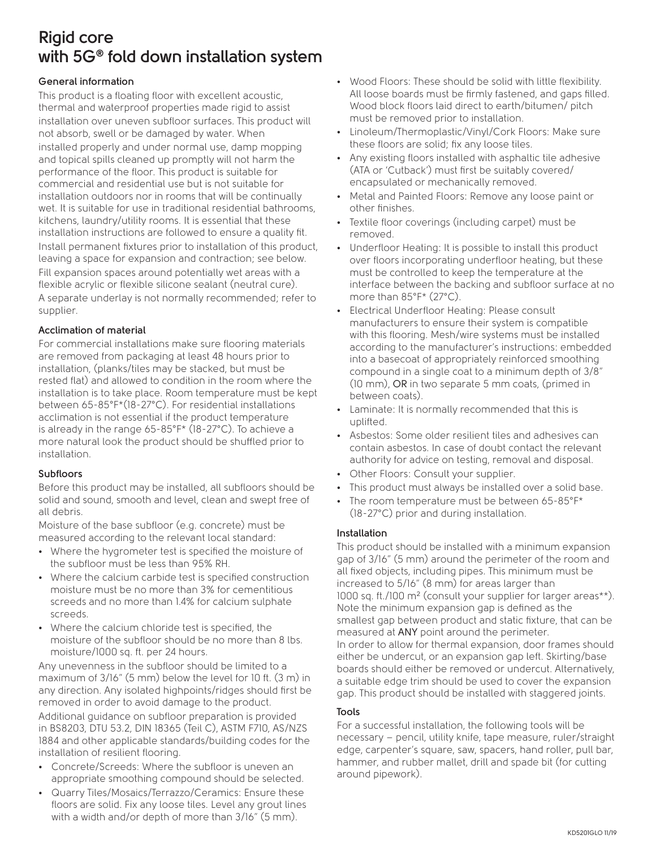# **Rigid core with 5G® fold down installation system**

#### **General information**

This product is a floating floor with excellent acoustic, thermal and waterproof properties made rigid to assist installation over uneven subfloor surfaces. This product will not absorb, swell or be damaged by water. When installed properly and under normal use, damp mopping and topical spills cleaned up promptly will not harm the performance of the floor. This product is suitable for commercial and residential use but is not suitable for installation outdoors nor in rooms that will be continually wet. It is suitable for use in traditional residential bathrooms, kitchens, laundry/utility rooms. It is essential that these installation instructions are followed to ensure a quality fit. Install permanent fixtures prior to installation of this product, leaving a space for expansion and contraction; see below. Fill expansion spaces around potentially wet areas with a flexible acrylic or flexible silicone sealant (neutral cure). A separate underlay is not normally recommended; refer to supplier.

#### **Acclimation of material**

For commercial installations make sure flooring materials are removed from packaging at least 48 hours prior to installation, (planks/tiles may be stacked, but must be rested flat) and allowed to condition in the room where the installation is to take place. Room temperature must be kept between 65-85°F\*(18-27°C). For residential installations acclimation is not essential if the product temperature is already in the range 65-85°F\* (18-27°C). To achieve a more natural look the product should be shuffled prior to installation.

## **Subfloors**

Before this product may be installed, all subfloors should be solid and sound, smooth and level, clean and swept free of all debris.

Moisture of the base subfloor (e.g. concrete) must be measured according to the relevant local standard:

- Where the hygrometer test is specified the moisture of the subfloor must be less than 95% RH.
- Where the calcium carbide test is specified construction moisture must be no more than 3% for cementitious screeds and no more than 1.4% for calcium sulphate screeds.
- Where the calcium chloride test is specified, the moisture of the subfloor should be no more than 8 lbs. moisture/1000 sq. ft. per 24 hours.

Any unevenness in the subfloor should be limited to a maximum of 3/16" (5 mm) below the level for 10 ft. (3 m) in any direction. Any isolated highpoints/ridges should first be removed in order to avoid damage to the product. Additional guidance on subfloor preparation is provided in BS8203, DTU 53.2, DIN 18365 (Teil C), ASTM F710, AS/NZS 1884 and other applicable standards/building codes for the installation of resilient flooring.

- Concrete/Screeds: Where the subfloor is uneven an appropriate smoothing compound should be selected.
- Quarry Tiles/Mosaics/Terrazzo/Ceramics: Ensure these floors are solid. Fix any loose tiles. Level any grout lines with a width and/or depth of more than 3/16" (5 mm).
- Wood Floors: These should be solid with little flexibility. All loose boards must be firmly fastened, and gaps filled. Wood block floors laid direct to earth/bitumen/ pitch must be removed prior to installation.
- Linoleum/Thermoplastic/Vinyl/Cork Floors: Make sure these floors are solid; fix any loose tiles.
- Any existing floors installed with asphaltic tile adhesive (ATA or 'Cutback') must first be suitably covered/ encapsulated or mechanically removed.
- Metal and Painted Floors: Remove any loose paint or other finishes.
- Textile floor coverings (including carpet) must be removed.
- Underfloor Heating: It is possible to install this product over floors incorporating underfloor heating, but these must be controlled to keep the temperature at the interface between the backing and subfloor surface at no more than 85°F\* (27°C).
- Electrical Underfloor Heating: Please consult manufacturers to ensure their system is compatible with this flooring. Mesh/wire systems must be installed according to the manufacturer's instructions: embedded into a basecoat of appropriately reinforced smoothing compound in a single coat to a minimum depth of 3/8" (10 mm), OR in two separate 5 mm coats, (primed in between coats).
- Laminate: It is normally recommended that this is uplifted.
- Asbestos: Some older resilient tiles and adhesives can contain asbestos. In case of doubt contact the relevant authority for advice on testing, removal and disposal.
- Other Floors: Consult your supplier.
- This product must always be installed over a solid base.
- The room temperature must be between 65-85°F\* (18-27°C) prior and during installation.

#### **Installation**

This product should be installed with a minimum expansion gap of 3/16" (5 mm) around the perimeter of the room and all fixed objects, including pipes. This minimum must be increased to 5/16" (8 mm) for areas larger than 1000 sq. ft./100 m² (consult your supplier for larger areas\*\*). Note the minimum expansion gap is defined as the smallest gap between product and static fixture, that can be measured at ANY point around the perimeter. In order to allow for thermal expansion, door frames should either be undercut, or an expansion gap left. Skirting/base boards should either be removed or undercut. Alternatively, a suitable edge trim should be used to cover the expansion gap. This product should be installed with staggered joints.

#### **Tools**

For a successful installation, the following tools will be necessary – pencil, utility knife, tape measure, ruler/straight edge, carpenter's square, saw, spacers, hand roller, pull bar, hammer, and rubber mallet, drill and spade bit (for cutting around pipework).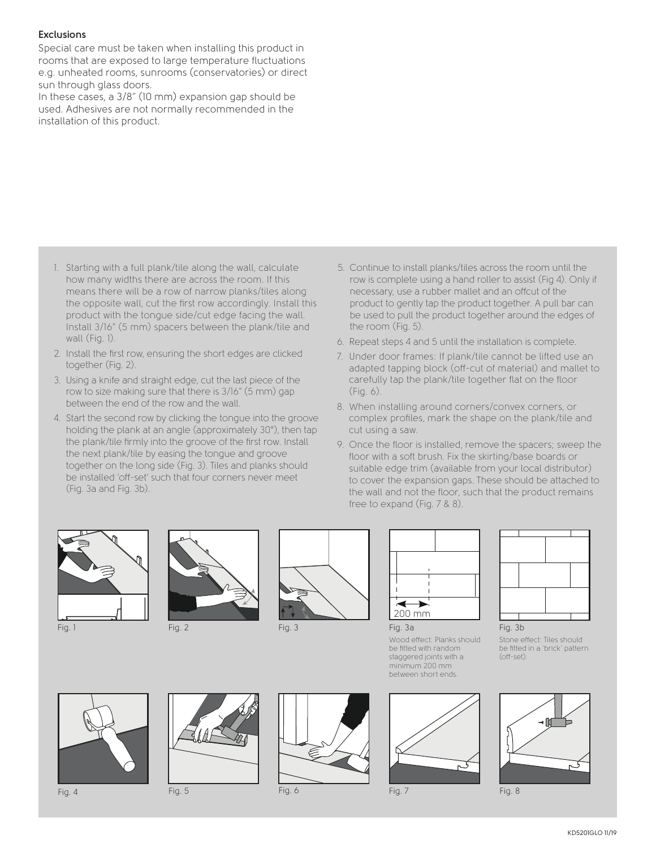#### **Exclusions**

Special care must be taken when installing this product in rooms that are exposed to large temperature fluctuations e.g. unheated rooms, sunrooms (conservatories) or direct sun through glass doors.

In these cases, a 3/8" (10 mm) expansion gap should be used. Adhesives are not normally recommended in the installation of this product.

- 1. Starting with a full plank/tile along the wall, calculate how many widths there are across the room. If this means there will be a row of narrow planks/tiles along the opposite wall, cut the first row accordingly. Install this product with the tongue side/cut edge facing the wall. Install 3/16" (5 mm) spacers between the plank/tile and wall (Fig. 1).
- 2. Install the first row, ensuring the short edges are clicked together (Fig. 2).
- 3. Using a knife and straight edge, cut the last piece of the row to size making sure that there is 3/16" (5 mm) gap between the end of the row and the wall.
- 4. Start the second row by clicking the tongue into the groove holding the plank at an angle (approximately 30°), then tap the plank/tile firmly into the groove of the first row. Install the next plank/tile by easing the tongue and groove together on the long side (Fig. 3). Tiles and planks should be installed 'off-set' such that four corners never meet (Fig. 3a and Fig. 3b).
- 5. Continue to install planks/tiles across the room until the row is complete using a hand roller to assist (Fig 4). Only if necessary, use a rubber mallet and an offcut of the product to gently tap the product together. A pull bar can be used to pull the product together around the edges of the room (Fig. 5).
- 6. Repeat steps 4 and 5 until the installation is complete.
- 7. Under door frames: If plank/tile cannot be lifted use an adapted tapping block (off-cut of material) and mallet to carefully tap the plank/tile together flat on the floor (Fig. 6).
- 8. When installing around corners/convex corners, or complex profiles, mark the shape on the plank/tile and cut using a saw.
- 9. Once the floor is installed, remove the spacers; sweep the floor with a soft brush. Fix the skirting/base boards or suitable edge trim (available from your local distributor) to cover the expansion gaps. These should be attached to the wall and not the floor, such that the product remains free to expand (Fig. 7 & 8).









minimum 200 mm between short ends.





Stone effect: Tiles should be fitted in a 'brick' pattern (off-set).







Fig. 4 Fig. 5 Fig. 6 Fig. 7 Fig. 8